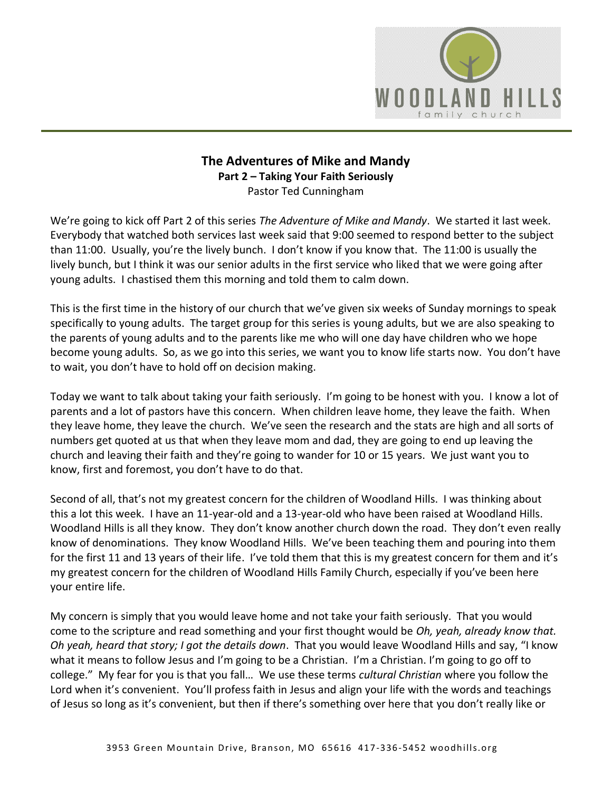

# **The Adventures of Mike and Mandy Part 2 – Taking Your Faith Seriously**  Pastor Ted Cunningham

We're going to kick off Part 2 of this series *The Adventure of Mike and Mandy*. We started it last week. Everybody that watched both services last week said that 9:00 seemed to respond better to the subject than 11:00. Usually, you're the lively bunch. I don't know if you know that. The 11:00 is usually the lively bunch, but I think it was our senior adults in the first service who liked that we were going after young adults. I chastised them this morning and told them to calm down.

This is the first time in the history of our church that we've given six weeks of Sunday mornings to speak specifically to young adults. The target group for this series is young adults, but we are also speaking to the parents of young adults and to the parents like me who will one day have children who we hope become young adults. So, as we go into this series, we want you to know life starts now. You don't have to wait, you don't have to hold off on decision making.

Today we want to talk about taking your faith seriously. I'm going to be honest with you. I know a lot of parents and a lot of pastors have this concern. When children leave home, they leave the faith. When they leave home, they leave the church. We've seen the research and the stats are high and all sorts of numbers get quoted at us that when they leave mom and dad, they are going to end up leaving the church and leaving their faith and they're going to wander for 10 or 15 years. We just want you to know, first and foremost, you don't have to do that.

Second of all, that's not my greatest concern for the children of Woodland Hills. I was thinking about this a lot this week. I have an 11-year-old and a 13-year-old who have been raised at Woodland Hills. Woodland Hills is all they know. They don't know another church down the road. They don't even really know of denominations. They know Woodland Hills. We've been teaching them and pouring into them for the first 11 and 13 years of their life. I've told them that this is my greatest concern for them and it's my greatest concern for the children of Woodland Hills Family Church, especially if you've been here your entire life.

My concern is simply that you would leave home and not take your faith seriously. That you would come to the scripture and read something and your first thought would be *Oh, yeah, already know that. Oh yeah, heard that story; I got the details down*. That you would leave Woodland Hills and say, "I know what it means to follow Jesus and I'm going to be a Christian. I'm a Christian. I'm going to go off to college." My fear for you is that you fall… We use these terms *cultural Christian* where you follow the Lord when it's convenient. You'll profess faith in Jesus and align your life with the words and teachings of Jesus so long as it's convenient, but then if there's something over here that you don't really like or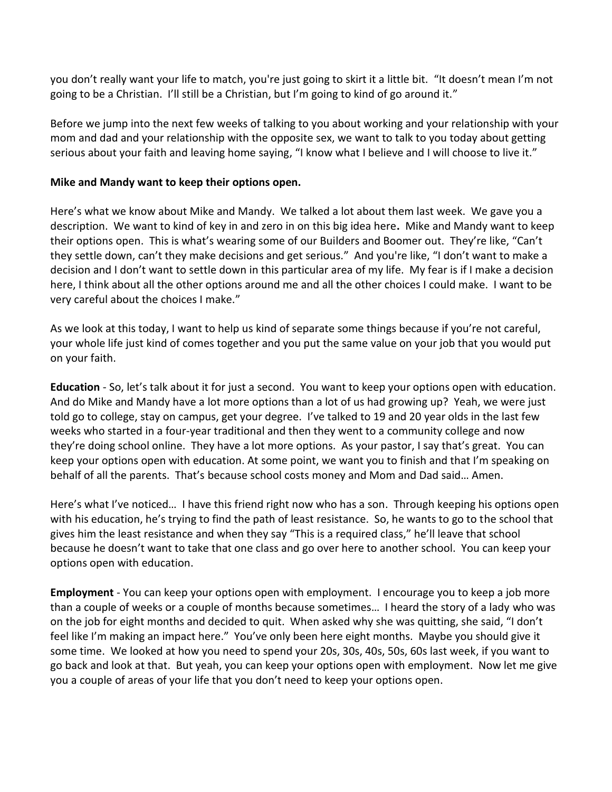you don't really want your life to match, you're just going to skirt it a little bit. "It doesn't mean I'm not going to be a Christian. I'll still be a Christian, but I'm going to kind of go around it."

Before we jump into the next few weeks of talking to you about working and your relationship with your mom and dad and your relationship with the opposite sex, we want to talk to you today about getting serious about your faith and leaving home saying, "I know what I believe and I will choose to live it."

#### **Mike and Mandy want to keep their options open.**

Here's what we know about Mike and Mandy. We talked a lot about them last week. We gave you a description. We want to kind of key in and zero in on this big idea here**.** Mike and Mandy want to keep their options open.This is what's wearing some of our Builders and Boomer out. They're like, "Can't they settle down, can't they make decisions and get serious." And you're like, "I don't want to make a decision and I don't want to settle down in this particular area of my life. My fear is if I make a decision here, I think about all the other options around me and all the other choices I could make. I want to be very careful about the choices I make."

As we look at this today, I want to help us kind of separate some things because if you're not careful, your whole life just kind of comes together and you put the same value on your job that you would put on your faith.

**Education** - So, let's talk about it for just a second. You want to keep your options open with education. And do Mike and Mandy have a lot more options than a lot of us had growing up? Yeah, we were just told go to college, stay on campus, get your degree. I've talked to 19 and 20 year olds in the last few weeks who started in a four-year traditional and then they went to a community college and now they're doing school online. They have a lot more options. As your pastor, I say that's great. You can keep your options open with education. At some point, we want you to finish and that I'm speaking on behalf of all the parents. That's because school costs money and Mom and Dad said… Amen.

Here's what I've noticed… I have this friend right now who has a son. Through keeping his options open with his education, he's trying to find the path of least resistance. So, he wants to go to the school that gives him the least resistance and when they say "This is a required class," he'll leave that school because he doesn't want to take that one class and go over here to another school. You can keep your options open with education.

**Employment** - You can keep your options open with employment. I encourage you to keep a job more than a couple of weeks or a couple of months because sometimes… I heard the story of a lady who was on the job for eight months and decided to quit. When asked why she was quitting, she said, "I don't feel like I'm making an impact here." You've only been here eight months. Maybe you should give it some time. We looked at how you need to spend your 20s, 30s, 40s, 50s, 60s last week, if you want to go back and look at that. But yeah, you can keep your options open with employment. Now let me give you a couple of areas of your life that you don't need to keep your options open.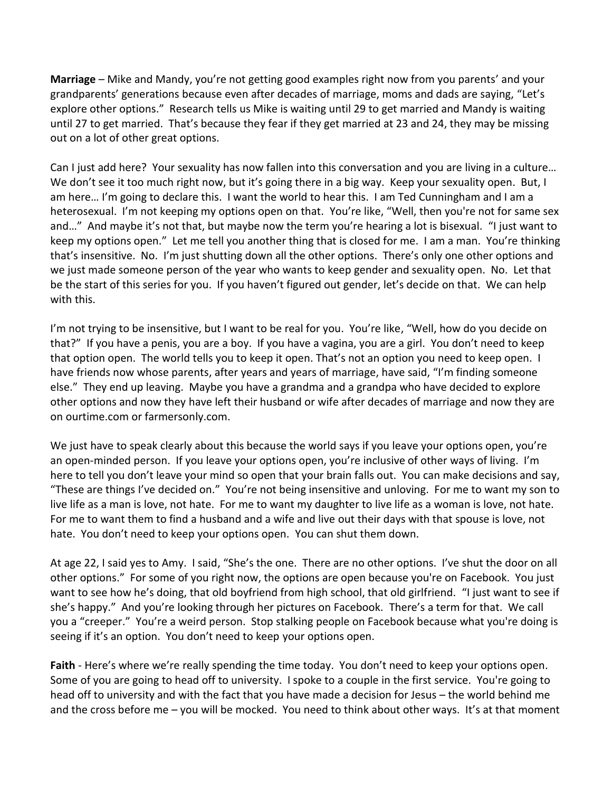**Marriage** – Mike and Mandy, you're not getting good examples right now from you parents' and your grandparents' generations because even after decades of marriage, moms and dads are saying, "Let's explore other options." Research tells us Mike is waiting until 29 to get married and Mandy is waiting until 27 to get married. That's because they fear if they get married at 23 and 24, they may be missing out on a lot of other great options.

Can I just add here? Your sexuality has now fallen into this conversation and you are living in a culture… We don't see it too much right now, but it's going there in a big way. Keep your sexuality open. But, I am here… I'm going to declare this. I want the world to hear this. I am Ted Cunningham and I am a heterosexual. I'm not keeping my options open on that. You're like, "Well, then you're not for same sex and…" And maybe it's not that, but maybe now the term you're hearing a lot is bisexual. "I just want to keep my options open." Let me tell you another thing that is closed for me. I am a man. You're thinking that's insensitive. No. I'm just shutting down all the other options. There's only one other options and we just made someone person of the year who wants to keep gender and sexuality open. No. Let that be the start of this series for you. If you haven't figured out gender, let's decide on that. We can help with this.

I'm not trying to be insensitive, but I want to be real for you. You're like, "Well, how do you decide on that?" If you have a penis, you are a boy. If you have a vagina, you are a girl. You don't need to keep that option open. The world tells you to keep it open. That's not an option you need to keep open. I have friends now whose parents, after years and years of marriage, have said, "I'm finding someone else." They end up leaving. Maybe you have a grandma and a grandpa who have decided to explore other options and now they have left their husband or wife after decades of marriage and now they are on ourtime.com or farmersonly.com.

We just have to speak clearly about this because the world says if you leave your options open, you're an open-minded person. If you leave your options open, you're inclusive of other ways of living. I'm here to tell you don't leave your mind so open that your brain falls out. You can make decisions and say, "These are things I've decided on." You're not being insensitive and unloving. For me to want my son to live life as a man is love, not hate. For me to want my daughter to live life as a woman is love, not hate. For me to want them to find a husband and a wife and live out their days with that spouse is love, not hate. You don't need to keep your options open. You can shut them down.

At age 22, I said yes to Amy. I said, "She's the one. There are no other options. I've shut the door on all other options." For some of you right now, the options are open because you're on Facebook. You just want to see how he's doing, that old boyfriend from high school, that old girlfriend. "I just want to see if she's happy." And you're looking through her pictures on Facebook. There's a term for that. We call you a "creeper." You're a weird person. Stop stalking people on Facebook because what you're doing is seeing if it's an option. You don't need to keep your options open.

**Faith** - Here's where we're really spending the time today. You don't need to keep your options open. Some of you are going to head off to university. I spoke to a couple in the first service. You're going to head off to university and with the fact that you have made a decision for Jesus – the world behind me and the cross before me – you will be mocked. You need to think about other ways. It's at that moment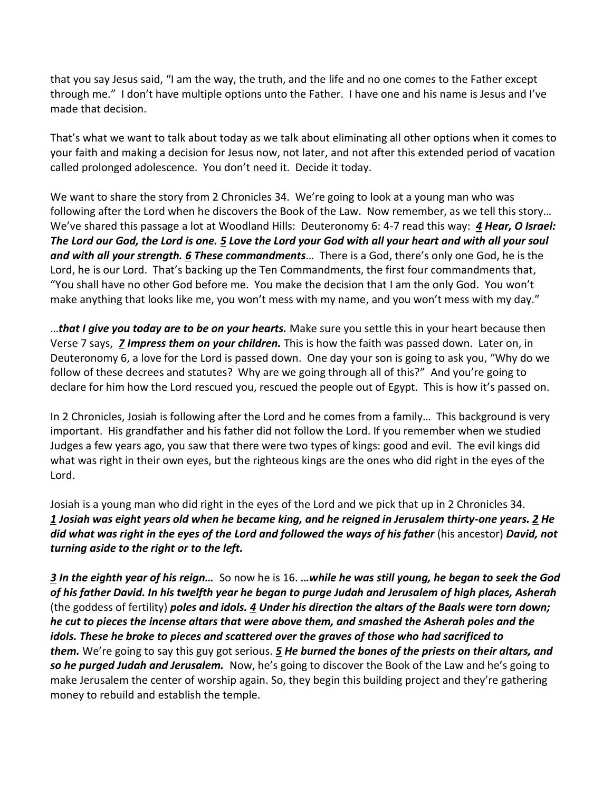that you say Jesus said, "I am the way, the truth, and the life and no one comes to the Father except through me." I don't have multiple options unto the Father. I have one and his name is Jesus and I've made that decision.

That's what we want to talk about today as we talk about eliminating all other options when it comes to your faith and making a decision for Jesus now, not later, and not after this extended period of vacation called prolonged adolescence. You don't need it. Decide it today.

We want to share the story from 2 Chronicles 34. We're going to look at a young man who was following after the Lord when he discovers the Book of the Law. Now remember, as we tell this story… We've shared this passage a lot at Woodland Hills: Deuteronomy 6: 4-7 read this way: *[4](http://www.studylight.org/desk/?q=de%206:4&t1=en_niv&sr=1) Hear, O Israel: The Lord our God, the Lord is one. [5](http://www.studylight.org/desk/?q=de%206:5&t1=en_niv&sr=1) Love the Lord your God with all your heart and with all your soul and with all your strength. [6](http://www.studylight.org/desk/?q=de%206:6&t1=en_niv&sr=1) These commandments*… There is a God, there's only one God, he is the Lord, he is our Lord. That's backing up the Ten Commandments, the first four commandments that, "You shall have no other God before me. You make the decision that I am the only God. You won't make anything that looks like me, you won't mess with my name, and you won't mess with my day."

…*that I give you today are to be on your hearts.* Make sure you settle this in your heart because then Verse 7 says, *[7](http://www.studylight.org/desk/?q=de%206:7&t1=en_niv&sr=1) Impress them on your children.* This is how the faith was passed down. Later on, in Deuteronomy 6, a love for the Lord is passed down. One day your son is going to ask you, "Why do we follow of these decrees and statutes? Why are we going through all of this?" And you're going to declare for him how the Lord rescued you, rescued the people out of Egypt. This is how it's passed on.

In 2 Chronicles, Josiah is following after the Lord and he comes from a family… This background is very important. His grandfather and his father did not follow the Lord. If you remember when we studied Judges a few years ago, you saw that there were two types of kings: good and evil. The evil kings did what was right in their own eyes, but the righteous kings are the ones who did right in the eyes of the Lord.

Josiah is a young man who did right in the eyes of the Lord and we pick that up in 2 Chronicles 34. *[1](http://www.studylight.org/desk/?q=2ch%2034:1&t1=en_niv&sr=1) Josiah was eight years old when he became king, and he reigned in Jerusalem thirty-one years[. 2](http://www.studylight.org/desk/?q=2ch%2034:2&t1=en_niv&sr=1) He did what was right in the eyes of the Lord and followed the ways of his father* (his ancestor) *David, not turning aside to the right or to the left.* 

*[3](http://www.studylight.org/desk/?q=2ch%2034:3&t1=en_niv&sr=1) In the eighth year of his reign…* So now he is 16. *…while he was still young, he began to seek the God of his father David. In his twelfth year he began to purge Judah and Jerusalem of high places, Asherah*  (the goddess of fertility) *poles and idols. [4](http://www.studylight.org/desk/?q=2ch%2034:4&t1=en_niv&sr=1) Under his direction the altars of the Baals were torn down; he cut to pieces the incense altars that were above them, and smashed the Asherah poles and the idols. These he broke to pieces and scattered over the graves of those who had sacrificed to them.* We're going to say this guy got serious. *[5](http://www.studylight.org/desk/?q=2ch%2034:5&t1=en_niv&sr=1) He burned the bones of the priests on their altars, and so he purged Judah and Jerusalem.* Now, he's going to discover the Book of the Law and he's going to make Jerusalem the center of worship again. So, they begin this building project and they're gathering money to rebuild and establish the temple.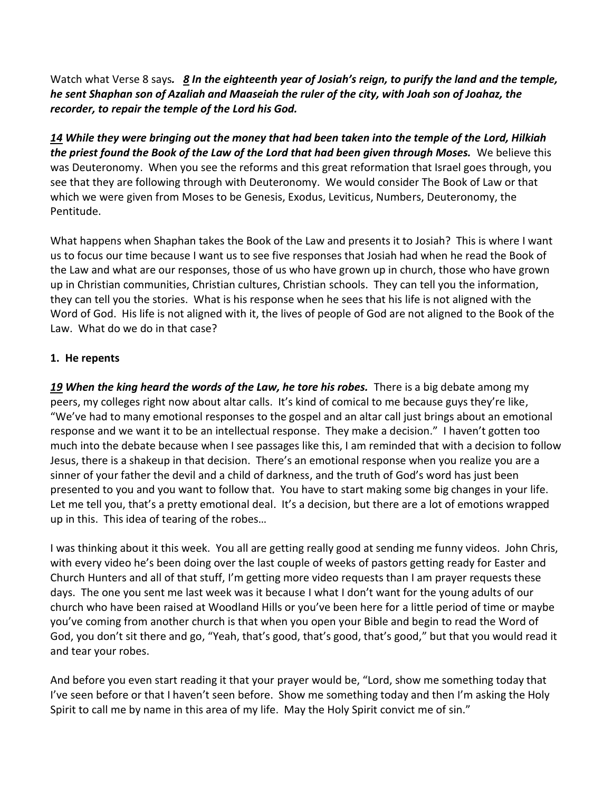Watch what Verse 8 says*. [8](http://www.studylight.org/desk/?q=2ch%2034:8&t1=en_niv&sr=1) In the eighteenth year of Josiah's reign, to purify the land and the temple, he sent Shaphan son of Azaliah and Maaseiah the ruler of the city, with Joah son of Joahaz, the recorder, to repair the temple of the Lord his God.* 

*[14](http://www.studylight.org/desk/?q=2ch%2034:14&t1=en_niv&sr=1) While they were bringing out the money that had been taken into the temple of the Lord, Hilkiah the priest found the Book of the Law of the Lord that had been given through Moses.* We believe this was Deuteronomy. When you see the reforms and this great reformation that Israel goes through, you see that they are following through with Deuteronomy. We would consider The Book of Law or that which we were given from Moses to be Genesis, Exodus, Leviticus, Numbers, Deuteronomy, the Pentitude.

What happens when Shaphan takes the Book of the Law and presents it to Josiah? This is where I want us to focus our time because I want us to see five responses that Josiah had when he read the Book of the Law and what are our responses, those of us who have grown up in church, those who have grown up in Christian communities, Christian cultures, Christian schools. They can tell you the information, they can tell you the stories. What is his response when he sees that his life is not aligned with the Word of God. His life is not aligned with it, the lives of people of God are not aligned to the Book of the Law. What do we do in that case?

### **1. He repents**

*[19](http://www.studylight.org/desk/?q=2ch%2034:19&t1=en_niv&sr=1) When the king heard the words of the Law, he tore his robes.* There is a big debate among my peers, my colleges right now about altar calls. It's kind of comical to me because guys they're like, "We've had to many emotional responses to the gospel and an altar call just brings about an emotional response and we want it to be an intellectual response. They make a decision." I haven't gotten too much into the debate because when I see passages like this, I am reminded that with a decision to follow Jesus, there is a shakeup in that decision. There's an emotional response when you realize you are a sinner of your father the devil and a child of darkness, and the truth of God's word has just been presented to you and you want to follow that. You have to start making some big changes in your life. Let me tell you, that's a pretty emotional deal. It's a decision, but there are a lot of emotions wrapped up in this. This idea of tearing of the robes…

I was thinking about it this week. You all are getting really good at sending me funny videos. John Chris, with every video he's been doing over the last couple of weeks of pastors getting ready for Easter and Church Hunters and all of that stuff, I'm getting more video requests than I am prayer requests these days. The one you sent me last week was it because I what I don't want for the young adults of our church who have been raised at Woodland Hills or you've been here for a little period of time or maybe you've coming from another church is that when you open your Bible and begin to read the Word of God, you don't sit there and go, "Yeah, that's good, that's good, that's good," but that you would read it and tear your robes.

And before you even start reading it that your prayer would be, "Lord, show me something today that I've seen before or that I haven't seen before. Show me something today and then I'm asking the Holy Spirit to call me by name in this area of my life. May the Holy Spirit convict me of sin."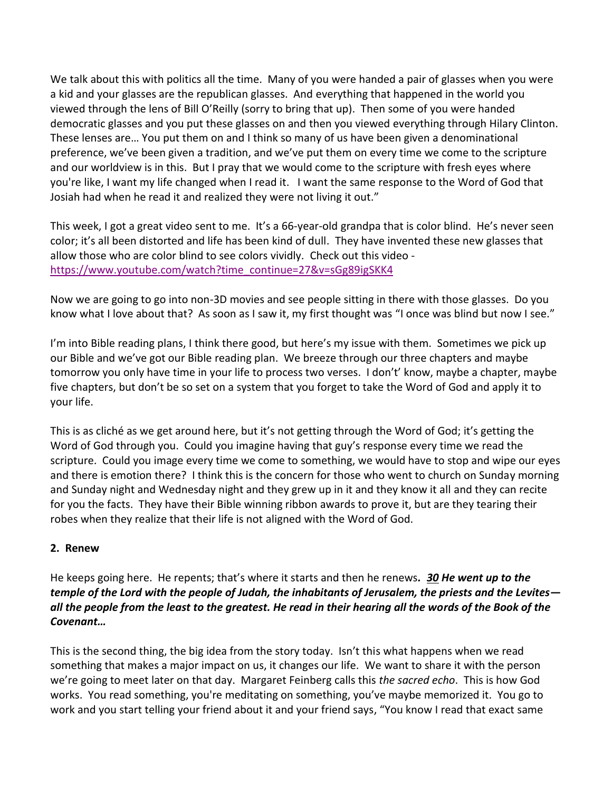We talk about this with politics all the time. Many of you were handed a pair of glasses when you were a kid and your glasses are the republican glasses. And everything that happened in the world you viewed through the lens of Bill O'Reilly (sorry to bring that up). Then some of you were handed democratic glasses and you put these glasses on and then you viewed everything through Hilary Clinton. These lenses are… You put them on and I think so many of us have been given a denominational preference, we've been given a tradition, and we've put them on every time we come to the scripture and our worldview is in this. But I pray that we would come to the scripture with fresh eyes where you're like, I want my life changed when I read it. I want the same response to the Word of God that Josiah had when he read it and realized they were not living it out."

This week, I got a great video sent to me. It's a 66-year-old grandpa that is color blind. He's never seen color; it's all been distorted and life has been kind of dull. They have invented these new glasses that allow those who are color blind to see colors vividly. Check out this video [https://www.youtube.com/watch?time\\_continue=27&v=sGg89igSKK4](https://www.youtube.com/watch?time_continue=27&v=sGg89igSKK4)

Now we are going to go into non-3D movies and see people sitting in there with those glasses. Do you know what I love about that? As soon as I saw it, my first thought was "I once was blind but now I see."

I'm into Bible reading plans, I think there good, but here's my issue with them. Sometimes we pick up our Bible and we've got our Bible reading plan. We breeze through our three chapters and maybe tomorrow you only have time in your life to process two verses. I don't' know, maybe a chapter, maybe five chapters, but don't be so set on a system that you forget to take the Word of God and apply it to your life.

This is as cliché as we get around here, but it's not getting through the Word of God; it's getting the Word of God through you. Could you imagine having that guy's response every time we read the scripture. Could you image every time we come to something, we would have to stop and wipe our eyes and there is emotion there? I think this is the concern for those who went to church on Sunday morning and Sunday night and Wednesday night and they grew up in it and they know it all and they can recite for you the facts. They have their Bible winning ribbon awards to prove it, but are they tearing their robes when they realize that their life is not aligned with the Word of God.

### **2. Renew**

He keeps going here. He repents; that's where it starts and then he renews*. [30](http://www.studylight.org/desk/?q=2ch%2034:30&t1=en_niv&sr=1) He went up to the temple of the Lord with the people of Judah, the inhabitants of Jerusalem, the priests and the Levites all the people from the least to the greatest. He read in their hearing all the words of the Book of the Covenant…*

This is the second thing, the big idea from the story today. Isn't this what happens when we read something that makes a major impact on us, it changes our life. We want to share it with the person we're going to meet later on that day. Margaret Feinberg calls this *the sacred echo*. This is how God works. You read something, you're meditating on something, you've maybe memorized it. You go to work and you start telling your friend about it and your friend says, "You know I read that exact same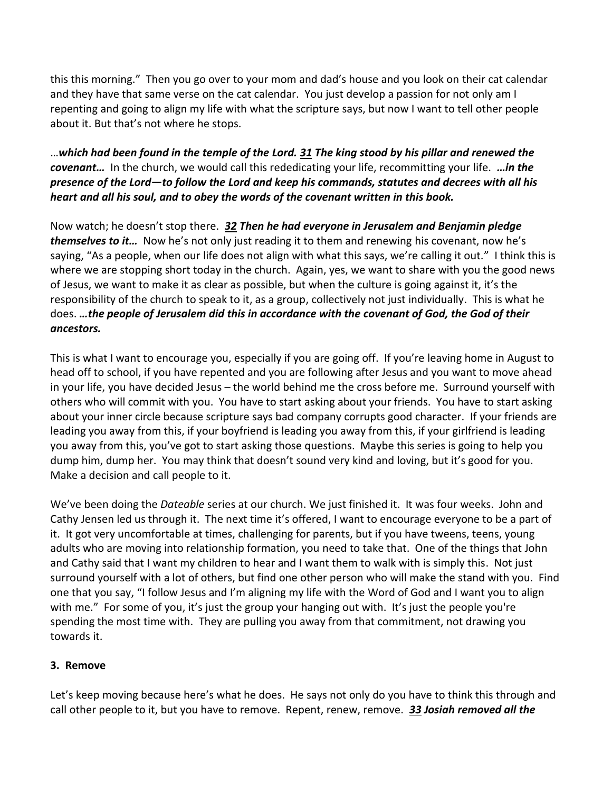this this morning." Then you go over to your mom and dad's house and you look on their cat calendar and they have that same verse on the cat calendar. You just develop a passion for not only am I repenting and going to align my life with what the scripture says, but now I want to tell other people about it. But that's not where he stops.

…*which had been found in the temple of the Lord. [31](http://www.studylight.org/desk/?q=2ch%2034:31&t1=en_niv&sr=1) The king stood by his pillar and renewed the covenant…* In the church, we would call this rededicating your life, recommitting your life. *…in the presence of the Lord—to follow the Lord and keep his commands, statutes and decrees with all his heart and all his soul, and to obey the words of the covenant written in this book.* 

Now watch; he doesn't stop there. *[32](http://www.studylight.org/desk/?q=2ch%2034:32&t1=en_niv&sr=1) Then he had everyone in Jerusalem and Benjamin pledge themselves to it…* Now he's not only just reading it to them and renewing his covenant, now he's saying, "As a people, when our life does not align with what this says, we're calling it out." I think this is where we are stopping short today in the church. Again, yes, we want to share with you the good news of Jesus, we want to make it as clear as possible, but when the culture is going against it, it's the responsibility of the church to speak to it, as a group, collectively not just individually. This is what he does. *…the people of Jerusalem did this in accordance with the covenant of God, the God of their ancestors.* 

This is what I want to encourage you, especially if you are going off. If you're leaving home in August to head off to school, if you have repented and you are following after Jesus and you want to move ahead in your life, you have decided Jesus – the world behind me the cross before me. Surround yourself with others who will commit with you. You have to start asking about your friends. You have to start asking about your inner circle because scripture says bad company corrupts good character. If your friends are leading you away from this, if your boyfriend is leading you away from this, if your girlfriend is leading you away from this, you've got to start asking those questions. Maybe this series is going to help you dump him, dump her. You may think that doesn't sound very kind and loving, but it's good for you. Make a decision and call people to it.

We've been doing the *Dateable* series at our church. We just finished it. It was four weeks. John and Cathy Jensen led us through it. The next time it's offered, I want to encourage everyone to be a part of it. It got very uncomfortable at times, challenging for parents, but if you have tweens, teens, young adults who are moving into relationship formation, you need to take that. One of the things that John and Cathy said that I want my children to hear and I want them to walk with is simply this. Not just surround yourself with a lot of others, but find one other person who will make the stand with you. Find one that you say, "I follow Jesus and I'm aligning my life with the Word of God and I want you to align with me." For some of you, it's just the group your hanging out with. It's just the people you're spending the most time with. They are pulling you away from that commitment, not drawing you towards it.

### **3. Remove**

Let's keep moving because here's what he does. He says not only do you have to think this through and call other people to it, but you have to remove. Repent, renew, remove. *[33](http://www.studylight.org/desk/?q=2ch%2034:33&t1=en_niv&sr=1) Josiah removed all the*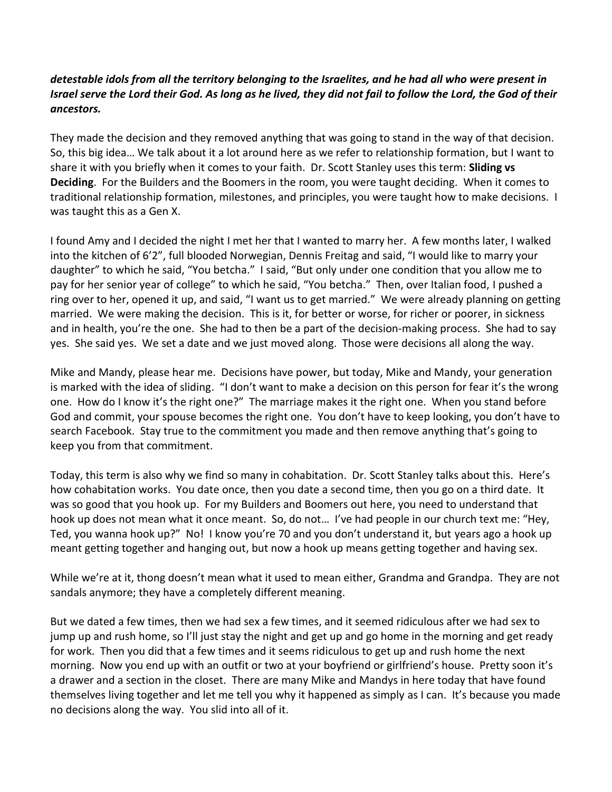## *detestable idols from all the territory belonging to the Israelites, and he had all who were present in Israel serve the Lord their God. As long as he lived, they did not fail to follow the Lord, the God of their ancestors.*

They made the decision and they removed anything that was going to stand in the way of that decision. So, this big idea… We talk about it a lot around here as we refer to relationship formation, but I want to share it with you briefly when it comes to your faith. Dr. Scott Stanley uses this term: **Sliding vs Deciding**. For the Builders and the Boomers in the room, you were taught deciding. When it comes to traditional relationship formation, milestones, and principles, you were taught how to make decisions. I was taught this as a Gen X.

I found Amy and I decided the night I met her that I wanted to marry her. A few months later, I walked into the kitchen of 6'2", full blooded Norwegian, Dennis Freitag and said, "I would like to marry your daughter" to which he said, "You betcha." I said, "But only under one condition that you allow me to pay for her senior year of college" to which he said, "You betcha." Then, over Italian food, I pushed a ring over to her, opened it up, and said, "I want us to get married." We were already planning on getting married. We were making the decision. This is it, for better or worse, for richer or poorer, in sickness and in health, you're the one. She had to then be a part of the decision-making process. She had to say yes. She said yes. We set a date and we just moved along. Those were decisions all along the way.

Mike and Mandy, please hear me. Decisions have power, but today, Mike and Mandy, your generation is marked with the idea of sliding. "I don't want to make a decision on this person for fear it's the wrong one. How do I know it's the right one?" The marriage makes it the right one. When you stand before God and commit, your spouse becomes the right one. You don't have to keep looking, you don't have to search Facebook. Stay true to the commitment you made and then remove anything that's going to keep you from that commitment.

Today, this term is also why we find so many in cohabitation. Dr. Scott Stanley talks about this. Here's how cohabitation works. You date once, then you date a second time, then you go on a third date. It was so good that you hook up. For my Builders and Boomers out here, you need to understand that hook up does not mean what it once meant. So, do not… I've had people in our church text me: "Hey, Ted, you wanna hook up?" No! I know you're 70 and you don't understand it, but years ago a hook up meant getting together and hanging out, but now a hook up means getting together and having sex.

While we're at it, thong doesn't mean what it used to mean either, Grandma and Grandpa. They are not sandals anymore; they have a completely different meaning.

But we dated a few times, then we had sex a few times, and it seemed ridiculous after we had sex to jump up and rush home, so I'll just stay the night and get up and go home in the morning and get ready for work. Then you did that a few times and it seems ridiculous to get up and rush home the next morning. Now you end up with an outfit or two at your boyfriend or girlfriend's house. Pretty soon it's a drawer and a section in the closet. There are many Mike and Mandys in here today that have found themselves living together and let me tell you why it happened as simply as I can. It's because you made no decisions along the way. You slid into all of it.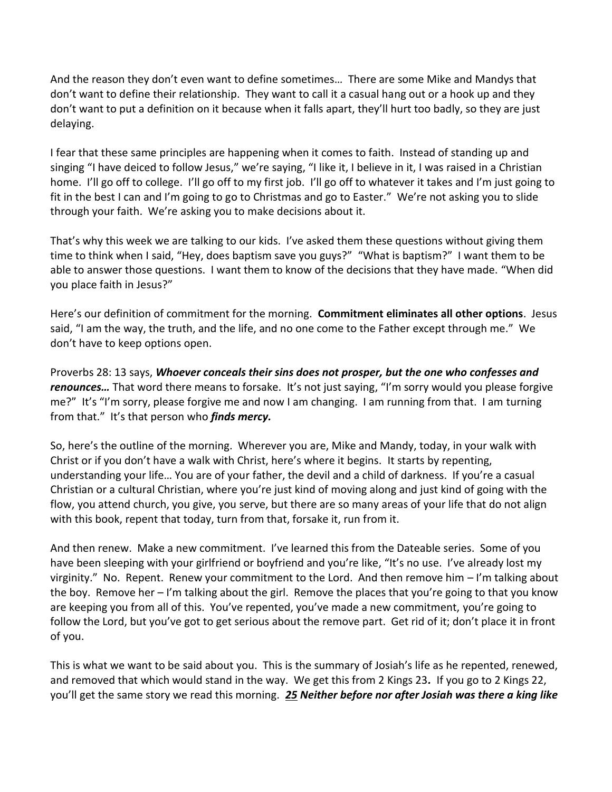And the reason they don't even want to define sometimes… There are some Mike and Mandys that don't want to define their relationship. They want to call it a casual hang out or a hook up and they don't want to put a definition on it because when it falls apart, they'll hurt too badly, so they are just delaying.

I fear that these same principles are happening when it comes to faith. Instead of standing up and singing "I have deiced to follow Jesus," we're saying, "I like it, I believe in it, I was raised in a Christian home. I'll go off to college. I'll go off to my first job. I'll go off to whatever it takes and I'm just going to fit in the best I can and I'm going to go to Christmas and go to Easter." We're not asking you to slide through your faith. We're asking you to make decisions about it.

That's why this week we are talking to our kids. I've asked them these questions without giving them time to think when I said, "Hey, does baptism save you guys?" "What is baptism?" I want them to be able to answer those questions. I want them to know of the decisions that they have made. "When did you place faith in Jesus?"

Here's our definition of commitment for the morning. **Commitment eliminates all other options**. Jesus said, "I am the way, the truth, and the life, and no one come to the Father except through me." We don't have to keep options open.

Proverbs 28: 13 says, *Whoever conceals their sins does not prosper, but the one who confesses and renounces...* That word there means to forsake. It's not just saying, "I'm sorry would you please forgive me?" It's "I'm sorry, please forgive me and now I am changing. I am running from that. I am turning from that." It's that person who *finds mercy.*

So, here's the outline of the morning. Wherever you are, Mike and Mandy, today, in your walk with Christ or if you don't have a walk with Christ, here's where it begins. It starts by repenting, understanding your life… You are of your father, the devil and a child of darkness. If you're a casual Christian or a cultural Christian, where you're just kind of moving along and just kind of going with the flow, you attend church, you give, you serve, but there are so many areas of your life that do not align with this book, repent that today, turn from that, forsake it, run from it.

And then renew. Make a new commitment. I've learned this from the Dateable series. Some of you have been sleeping with your girlfriend or boyfriend and you're like, "It's no use. I've already lost my virginity." No. Repent. Renew your commitment to the Lord. And then remove him – I'm talking about the boy. Remove her – I'm talking about the girl. Remove the places that you're going to that you know are keeping you from all of this. You've repented, you've made a new commitment, you're going to follow the Lord, but you've got to get serious about the remove part. Get rid of it; don't place it in front of you.

This is what we want to be said about you. This is the summary of Josiah's life as he repented, renewed, and removed that which would stand in the way. We get this from 2 Kings 23*.* If you go to 2 Kings 22, you'll get the same story we read this morning. *[25](http://www.studylight.org/desk/?q=2ki%2023:25&t1=en_niv&sr=1) Neither before nor after Josiah was there a king like*